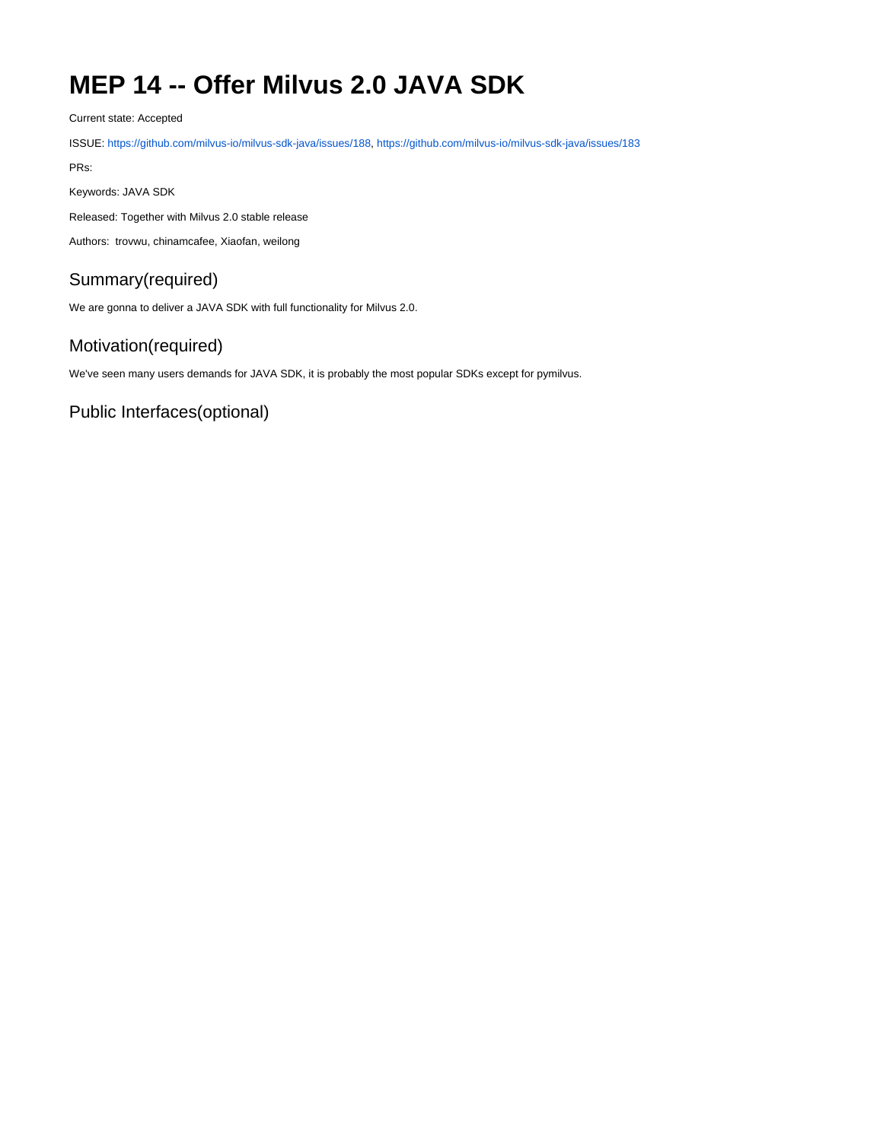# **MEP 14 -- Offer Milvus 2.0 JAVA SDK**

Current state: Accepted

ISSUE: <https://github.com/milvus-io/milvus-sdk-java/issues/188>,<https://github.com/milvus-io/milvus-sdk-java/issues/183>

PRs:

Keywords: JAVA SDK

Released: Together with Milvus 2.0 stable release

Authors: trovwu, chinamcafee, Xiaofan, weilong

# Summary(required)

We are gonna to deliver a JAVA SDK with full functionality for Milvus 2.0.

# Motivation(required)

We've seen many users demands for JAVA SDK, it is probably the most popular SDKs except for pymilvus.

Public Interfaces(optional)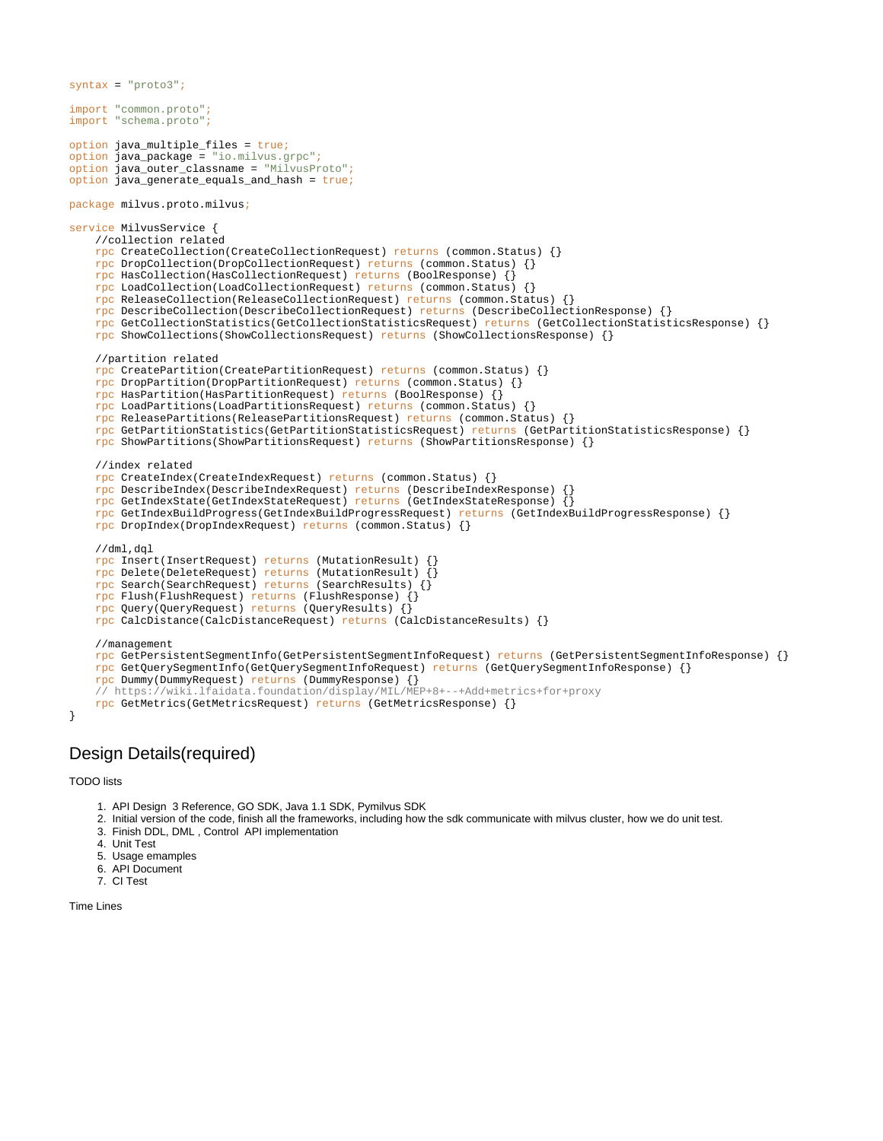```
syntax = "proto3";
import "common.proto";
import "schema.proto";
option java_multiple_files = true;
option java_package = "io.milvus.grpc";
option java_outer_classname = "MilvusProto";
option java_generate_equals_and_hash = true;
package milvus.proto.milvus;
service MilvusService {
     //collection related
     rpc CreateCollection(CreateCollectionRequest) returns (common.Status) {}
     rpc DropCollection(DropCollectionRequest) returns (common.Status) {}
     rpc HasCollection(HasCollectionRequest) returns (BoolResponse) {}
     rpc LoadCollection(LoadCollectionRequest) returns (common.Status) {}
     rpc ReleaseCollection(ReleaseCollectionRequest) returns (common.Status) {}
     rpc DescribeCollection(DescribeCollectionRequest) returns (DescribeCollectionResponse) {}
     rpc GetCollectionStatistics(GetCollectionStatisticsRequest) returns (GetCollectionStatisticsResponse) {}
     rpc ShowCollections(ShowCollectionsRequest) returns (ShowCollectionsResponse) {}
     //partition related
     rpc CreatePartition(CreatePartitionRequest) returns (common.Status) {}
     rpc DropPartition(DropPartitionRequest) returns (common.Status) {}
     rpc HasPartition(HasPartitionRequest) returns (BoolResponse) {}
     rpc LoadPartitions(LoadPartitionsRequest) returns (common.Status) {}
     rpc ReleasePartitions(ReleasePartitionsRequest) returns (common.Status) {}
     rpc GetPartitionStatistics(GetPartitionStatisticsRequest) returns (GetPartitionStatisticsResponse) {}
     rpc ShowPartitions(ShowPartitionsRequest) returns (ShowPartitionsResponse) {}
     //index related
     rpc CreateIndex(CreateIndexRequest) returns (common.Status) {}
     rpc DescribeIndex(DescribeIndexRequest) returns (DescribeIndexResponse) {}
     rpc GetIndexState(GetIndexStateRequest) returns (GetIndexStateResponse) {}
     rpc GetIndexBuildProgress(GetIndexBuildProgressRequest) returns (GetIndexBuildProgressResponse) {}
     rpc DropIndex(DropIndexRequest) returns (common.Status) {}
     //dml,dql
     rpc Insert(InsertRequest) returns (MutationResult) {}
     rpc Delete(DeleteRequest) returns (MutationResult) {}
     rpc Search(SearchRequest) returns (SearchResults) {}
     rpc Flush(FlushRequest) returns (FlushResponse) {}
     rpc Query(QueryRequest) returns (QueryResults) {}
     rpc CalcDistance(CalcDistanceRequest) returns (CalcDistanceResults) {}
     //management 
     rpc GetPersistentSegmentInfo(GetPersistentSegmentInfoRequest) returns (GetPersistentSegmentInfoResponse) {}
     rpc GetQuerySegmentInfo(GetQuerySegmentInfoRequest) returns (GetQuerySegmentInfoResponse) {}
     rpc Dummy(DummyRequest) returns (DummyResponse) {}
     // https://wiki.lfaidata.foundation/display/MIL/MEP+8+--+Add+metrics+for+proxy
     rpc GetMetrics(GetMetricsRequest) returns (GetMetricsResponse) {}
}
```
#### Design Details(required)

TODO lists

- 1. API Design 3 Reference, GO SDK, Java 1.1 SDK, Pymilvus SDK
- 2. Initial version of the code, finish all the frameworks, including how the sdk communicate with milvus cluster, how we do unit test.
- 3. Finish DDL, DML , Control API implementation
- 4. Unit Test
- 5. Usage emamples
- 6. API Document
- 7. CI Test

```
Time Lines
```